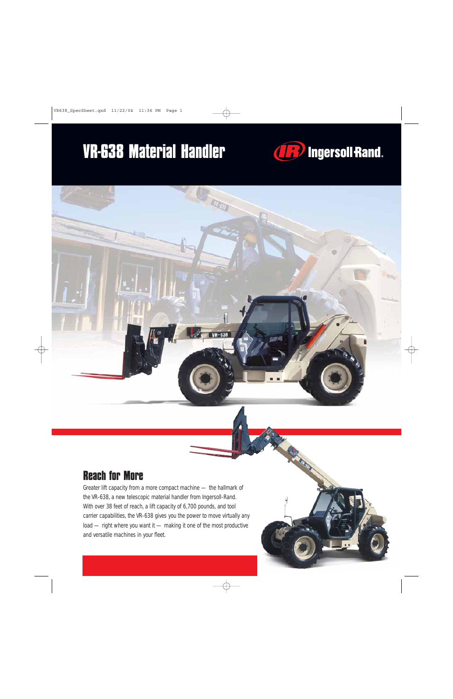## **VR-638 Material Handler**



### **Reach for More**

Greater lift capacity from a more compact machine — the hallmark of the VR-638, a new telescopic material handler from Ingersoll-Rand. With over 38 feet of reach, a lift capacity of 6,700 pounds, and tool carrier capabilities, the VR-638 gives you the power to move virtually any load — right where you want it — making it one of the most productive and versatile machines in your fleet.

VR-638